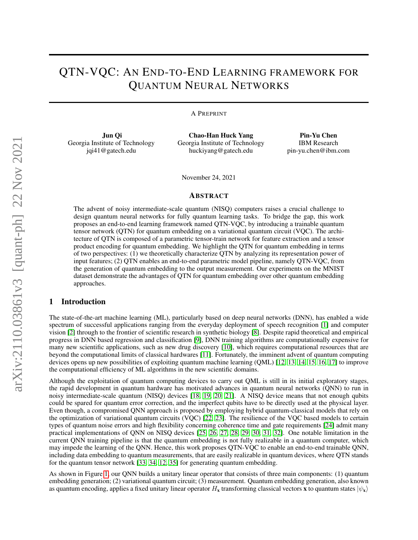# QTN-VQC: AN END-TO-END LEARNING FRAMEWORK FOR QUANTUM NEURAL NETWORKS

A PREPRINT

Jun Qi Georgia Institute of Technology jqi41@gatech.edu

Chao-Han Huck Yang Georgia Institute of Technology huckiyang@gatech.edu

Pin-Yu Chen IBM Research pin-yu.chen@ibm.com

November 24, 2021

#### ABSTRACT

The advent of noisy intermediate-scale quantum (NISQ) computers raises a crucial challenge to design quantum neural networks for fully quantum learning tasks. To bridge the gap, this work proposes an end-to-end learning framework named QTN-VQC, by introducing a trainable quantum tensor network (QTN) for quantum embedding on a variational quantum circuit (VQC). The architecture of QTN is composed of a parametric tensor-train network for feature extraction and a tensor product encoding for quantum embedding. We highlight the QTN for quantum embedding in terms of two perspectives: (1) we theoretically characterize QTN by analyzing its representation power of input features; (2) QTN enables an end-to-end parametric model pipeline, namely QTN-VQC, from the generation of quantum embedding to the output measurement. Our experiments on the MNIST dataset demonstrate the advantages of QTN for quantum embedding over other quantum embedding approaches.

# 1 Introduction

The state-of-the-art machine learning (ML), particularly based on deep neural networks (DNN), has enabled a wide spectrum of successful applications ranging from the everyday deployment of speech recognition [\[1\]](#page-8-0) and computer vision [\[2\]](#page-8-1) through to the frontier of scientific research in synthetic biology [\[8\]](#page-8-2). Despite rapid theoretical and empirical progress in DNN based regression and classification [\[9\]](#page-8-3), DNN training algorithms are computationally expensive for many new scientific applications, such as new drug discovery [\[10\]](#page-8-4), which requires computational resources that are beyond the computational limits of classical hardwares [\[11\]](#page-8-5). Fortunately, the imminent advent of quantum computing devices opens up new possibilities of exploiting quantum machine learning (QML) [\[12,](#page-8-6) [13,](#page-8-7) [14,](#page-8-8) [15,](#page-9-0) [16,](#page-9-1) [17\]](#page-9-2) to improve the computational efficiency of ML algorithms in the new scientific domains.

Although the exploitation of quantum computing devices to carry out QML is still in its initial exploratory stages, the rapid development in quantum hardware has motivated advances in quantum neural networks (QNN) to run in noisy intermediate-scale quantum (NISQ) devices [\[18,](#page-9-3) [19,](#page-9-4) [20,](#page-9-5) [21\]](#page-9-6). A NISQ device means that not enough qubits could be spared for quantum error correction, and the imperfect qubits have to be directly used at the physical layer. Even though, a compromised QNN approach is proposed by employing hybrid quantum-classical models that rely on the optimization of variational quantum circuits (VQC) [\[22,](#page-9-7) [23\]](#page-9-8). The resilience of the VQC based models to certain types of quantum noise errors and high flexibility concerning coherence time and gate requirements [\[24\]](#page-9-9) admit many practical implementations of QNN on NISQ devices [\[25,](#page-9-10) [26,](#page-9-11) [27,](#page-9-12) [28,](#page-9-13) [29,](#page-9-14) [30,](#page-9-15) [31,](#page-9-16) [32\]](#page-9-17). One notable limitation in the current QNN training pipeline is that the quantum embedding is not fully realizable in a quantum computer, which may impede the learning of the QNN. Hence, this work proposes QTN-VQC to enable an end-to-end trainable QNN, including data embedding to quantum measurements, that are easily realizable in quantum devices, where QTN stands for the quantum tensor network [\[33,](#page-9-18) [34,](#page-9-19) [12,](#page-8-6) [35\]](#page-9-20) for generating quantum embedding.

As shown in Figure [1,](#page-1-0) our QNN builds a unitary linear operator that consists of three main components: (1) quantum embedding generation; (2) variational quantum circuit; (3) measurement. Quantum embedding generation, also known as quantum encoding, applies a fixed unitary linear operator  $H_x$  transforming classical vectors x to quantum states  $|\psi_x\rangle$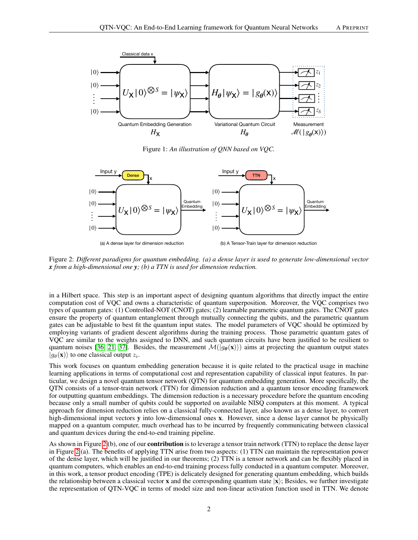

<span id="page-1-0"></span>Figure 1: *An illustration of QNN based on VQC.*



<span id="page-1-1"></span>(a) A dense layer for dimension reduction



Figure 2: *Different paradigms for quantum embedding. (a) a dense layer is used to generate low-dimensional vector x from a high-dimensional one y; (b) a TTN is used for dimension reduction.*

in a Hilbert space. This step is an important aspect of designing quantum algorithms that directly impact the entire computation cost of VQC and owns a characteristic of quantum superposition. Moreover, the VQC comprises two types of quantum gates: (1) Controlled-NOT (CNOT) gates; (2) learnable parametric quantum gates. The CNOT gates ensure the property of quantum entanglement through mutually connecting the qubits, and the parametric quantum gates can be adjustable to best fit the quantum input states. The model parameters of VQC should be optimized by employing variants of gradient descent algorithms during the training process. Those parametric quantum gates of VQC are similar to the weights assigned to DNN, and such quantum circuits have been justified to be resilient to quantum noises [\[36,](#page-9-21) [21,](#page-9-6) [37\]](#page-9-22). Besides, the measurement  $\mathcal{M}(|g_{\theta}(\mathbf{x})\rangle)$  aims at projecting the quantum output states  $|g_{\theta}(\mathbf{x})\rangle$  to one classical output  $z_i$ .

This work focuses on quantum embedding generation because it is quite related to the practical usage in machine learning applications in terms of computational cost and representation capability of classical input features. In particular, we design a novel quantum tensor network (QTN) for quantum embedding generation. More specifically, the QTN consists of a tensor-train network (TTN) for dimension reduction and a quantum tensor encoding framework for outputting quantum embeddings. The dimension reduction is a necessary procedure before the quantum encoding because only a small number of qubits could be supported on available NISQ computers at this moment. A typical approach for dimension reduction relies on a classical fully-connected layer, also known as a dense layer, to convert high-dimensional input vectors y into low-dimensional ones x. However, since a dense layer cannot be physically mapped on a quantum computer, much overhead has to be incurred by frequently communicating between classical and quantum devices during the end-to-end training pipeline.

As shown in Figure [2](#page-1-1) (b), one of our **contribution** is to leverage a tensor train network (TTN) to replace the dense layer in Figure [2](#page-1-1) (a). The benefits of applying TTN arise from two aspects: (1) TTN can maintain the representation power of the dense layer, which will be justified in our theorems; (2) TTN is a tensor network and can be flexibly placed in quantum computers, which enables an end-to-end training process fully conducted in a quantum computer. Moreover, in this work, a tensor product encoding (TPE) is delicately designed for generating quantum embedding, which builds the relationship between a classical vector x and the corresponding quantum state  $|x\rangle$ ; Besides, we further investigate the representation of QTN-VQC in terms of model size and non-linear activation function used in TTN. We denote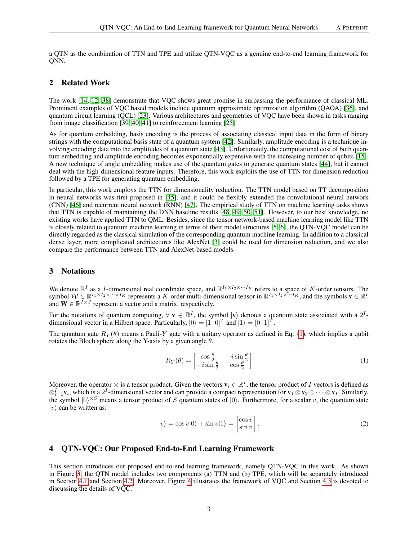a QTN as the combination of TTN and TPE and utilize QTN-VQC as a genuine end-to-end learning framework for ONN.

# 2 Related Work

The work [\[14,](#page-8-8) [12,](#page-8-6) [38\]](#page-9-23) demonstrate that VQC shows great promise in surpassing the performance of classical ML. Prominent examples of VQC based models include quantum approximate optimization algorithm (QAOA) [\[36\]](#page-9-21), and quantum circuit learning (QCL) [\[23\]](#page-9-8). Various architectures and geometries of VQC have been shown in tasks ranging from image classification [\[39,](#page-10-0) [40,](#page-10-1) [41\]](#page-10-2) to reinforcement learning [\[25\]](#page-9-10).

As for quantum embedding, basis encoding is the process of associating classical input data in the form of binary strings with the computational basis state of a quantum system [\[42\]](#page-10-3). Similarly, amplitude encoding is a technique involving encoding data into the amplitudes of a quantum state [\[43\]](#page-10-4). Unfortunately, the computational cost of both quantum embedding and amplitude encoding becomes exponentially expensive with the increasing number of qubits [\[15\]](#page-9-0). A new technique of angle embedding makes use of the quantum gates to generate quantum states [\[44\]](#page-10-5), but it cannot deal with the high-dimensional feature inputs. Therefore, this work exploits the use of TTN for dimension reduction followed by a TPE for generating quantum embedding.

In particular, this work employs the TTN for dimensionality reduction. The TTN model based on TT decomposition in neural networks was first proposed in [\[45\]](#page-10-6), and it could be flexibly extended the convolutional neural network (CNN) [\[46\]](#page-10-7) and recurrent neural network (RNN) [\[47\]](#page-10-8). The empirical study of TTN on machine learning tasks shows that TTN is capable of maintaining the DNN baseline results [\[48,](#page-10-9) [49,](#page-10-10) [50,](#page-10-11) [51\]](#page-10-12). However, to our best knowledge, no existing works have applied TTN to QML. Besides, since the tensor network-based machine learning model like TTN is closely related to quantum machine learning in terms of their model structures [\[5,](#page-8-9) [6\]](#page-8-10), the QTN-VQC model can be directly regarded as the classical simulation of the corresponding quantum machine learning. In addition to a classical dense layer, more complicated architectures like AlexNet [\[3\]](#page-8-11) could be used for dimension reduction, and we also compare the performance between TTN and AlexNet-based models.

## 3 Notations

We denote  $\mathbb{R}^I$  as a *I*-dimensional real coordinate space, and  $\mathbb{R}^{I_1 \times I_2 \times \cdots I_K}$  refers to a space of *K*-order tensors. The symbol  $W \in \mathbb{R}^{I_1 \times I_2 \times \cdots \times I_K}$  represents a K-order multi-dimensional tensor in  $\mathbb{R}^{I_1 \times I_2 \times \cdots I_K}$ , and the symbols  $\mathbf{v} \in \mathbb{R}^{I}$ and  $\mathbf{W} \in \mathbb{R}^{I \times J}$  represent a vector and a matrix, respectively.

For the notations of quantum computing,  $\forall v \in \mathbb{R}^I$ , the symbol  $|v\rangle$  denotes a quantum state associated with a  $2^I$ dimensional vector in a Hilbert space. Particularly,  $|0\rangle = [1 \ 0]^T$  and  $|1\rangle = [0 \ 1]^T$ .

The quantum gate  $R_Y(\theta)$  means a Pauli-Y gate with a unitary operator as defined in Eq. [\(1\)](#page-2-0), which implies a qubit rotates the Bloch sphere along the Y-axis by a given angle  $\theta$ .

<span id="page-2-0"></span>
$$
R_Y(\theta) = \begin{bmatrix} \cos\frac{\theta}{2} & -i\sin\frac{\theta}{2} \\ -i\sin\frac{\theta}{2} & \cos\frac{\theta}{2} \end{bmatrix}
$$
 (1)

Moreover, the operator  $\otimes$  is a tensor product. Given the vectors  $\mathbf{v}_i \in \mathbb{R}^I$ , the tensor product of I vectors is defined as  $\otimes_{i=1}^I$  v<sub>i</sub>, which is a 2<sup>*I*</sup>-dimensional vector and can provide a compact representation for  $v_1 \otimes v_2 \otimes \cdots \otimes v_I$ . Similarly, the symbol  $|0\rangle^{\otimes S}$  means a tensor product of S quantum states of  $|0\rangle$ . Furthermore, for a scalar v, the quantum state  $|v\rangle$  can be written as:

$$
|v\rangle = \cos v|0\rangle + \sin v|1\rangle = \begin{bmatrix} \cos v \\ \sin v \end{bmatrix}.
$$
 (2)

# 4 QTN-VQC: Our Proposed End-to-End Learning Framework

This section introduces our proposed end-to-end learning framework, namely QTN-VQC in this work. As shown in Figure [3,](#page-3-0) the QTN model includes two components (a) TTN and (b) TPE, which will be separately introduced in Section [4.1](#page-3-1) and Section [4.2.](#page-4-0) Moreover, Figure [4](#page-5-0) illustrates the framework of VQC and Section [4.3](#page-4-1) is devoted to discussing the details of VQC.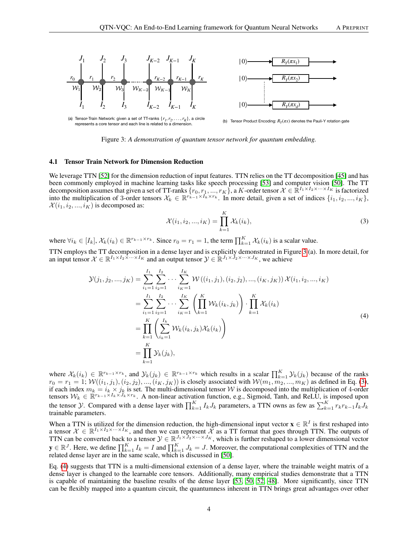

Tensor Product Encoding:  $R_v(\pi x)$  denotes the Pauli-Y rotation gate

<span id="page-3-0"></span>Figure 3: *A demonstration of quantum tensor network for quantum embedding.*

#### <span id="page-3-1"></span>4.1 Tensor Train Network for Dimension Reduction

represents a core tensor and each line is related to a dimens

We leverage TTN [\[52\]](#page-10-13) for the dimension reduction of input features. TTN relies on the TT decomposition [\[45\]](#page-10-6) and has been commonly employed in machine learning tasks like speech processing [\[53\]](#page-10-14) and computer vision [\[50\]](#page-10-11). The TT decomposition assumes that given a set of TT-ranks  $\{r_0, r_1, ..., r_K\}$ , a K-order tensor  $\mathcal{X} \in \mathbb{R}^{I_1 \times I_2 \times \cdots \times I_K}$  is factorized into the multiplication of 3-order tensors  $\mathcal{X}_k \in \mathbb{R}^{r_{k-1} \times \bar{I}_k \times r_k}$ . In more detail, given a set of indices  $\{i_1, i_2, ..., i_K\}$ ,  $\mathcal{X}(i_1, i_2, ..., i_K)$  is decomposed as:

<span id="page-3-2"></span>
$$
\mathcal{X}(i_1, i_2, ..., i_K) = \prod_{k=1}^{K} \mathcal{X}_k(i_k),
$$
\n(3)

where  $\forall i_k \in [I_k], \mathcal{X}_k(i_k) \in \mathbb{R}^{r_{k-1} \times r_k}$ . Since  $r_0 = r_1 = 1$ , the term  $\prod_{k=1}^K \mathcal{X}_k(i_k)$  is a scalar value.

TTN employs the TT decomposition in a dense layer and is explicitly demonstrated in Figure [3](#page-3-0) (a). In more detail, for an input tensor  $\mathcal{X} \in \mathbb{R}^{I_1 \times I_2 \times \cdots \times I_K}$  and an output tensor  $\mathcal{Y} \in \mathbb{R}^{J_1 \times J_2 \times \cdots \times J_K}$ , we achieve

<span id="page-3-3"></span>
$$
\mathcal{Y}(j_1, j_2, ..., j_K) = \sum_{i_1=1}^{I_1} \sum_{i_2=1}^{I_2} \cdots \sum_{i_K=1}^{I_K} \mathcal{W}((i_1, j_1), (i_2, j_2), ..., (i_K, j_K)) \mathcal{X}(i_1, i_2, ..., i_K)
$$
  
\n
$$
= \sum_{i_1=1}^{I_1} \sum_{i_2=1}^{I_2} \cdots \sum_{i_K=1}^{I_K} \left( \prod_{k=1}^K \mathcal{W}_k(i_k, j_k) \right) \cdot \prod_{k=1}^K \mathcal{X}_k(i_k)
$$
  
\n
$$
= \prod_{k=1}^K \left( \sum_{i_k=1}^{I_k} \mathcal{W}_k(i_k, j_k) \mathcal{X}_k(i_k) \right)
$$
  
\n
$$
= \prod_{k=1}^K \mathcal{Y}_k(j_k),
$$
  
\n(4)

where  $\mathcal{X}_k(i_k) \in \mathbb{R}^{r_{k-1} \times r_k}$ , and  $\mathcal{Y}_k(j_k) \in \mathbb{R}^{r_{k-1} \times r_k}$  which results in a scalar  $\prod_{k=1}^K \mathcal{Y}_k(j_k)$  because of the ranks  $r_0 = r_1 = 1; \mathcal{W}((i_1, j_1), (i_2, j_2), ..., (i_K, j_K))$  is closely associated with  $\mathcal{W}(m_1, m_2, ..., m_K)$  as defined in Eq. [\(3\)](#page-3-2), if each index  $m_k = i_k \times j_k$  is set. The multi-dimensional tensor W is decomposed into the multiplication of 4-order tensors  $W_k \in \mathbb{R}^{r_{k-1} \times I_k \times J_k \times r_k}$ . A non-linear activation function, e.g., Sigmoid, Tanh, and ReLU, is imposed upon the tensor *Y*. Compared with a dense layer with  $\prod_{k=1}^{K} I_k J_k$  parameters, a TTN owns as few as  $\sum_{k=1}^{K} r_k r_{k-1} I_k J_k$ trainable parameters.

When a TTN is utilized for the dimension reduction, the high-dimensional input vector  $\mathbf{x} \in \mathbb{R}^I$  is first reshaped into a tensor  $X \in \mathbb{R}^{I_1 \times I_2 \times \cdots \times I_K}$ , and then we can represent X as a TT format that goes through TTN. The outputs of TTN can be converted back to a tensor  $\mathcal{Y} \in \mathbb{R}^{J_1 \times J_2 \times \cdots \times J_K}$ , which is further reshaped to a lower dimensional vector  $y \in \mathbb{R}^J$ . Here, we define  $\prod_{k=1}^K I_k = I$  and  $\prod_{k=1}^K J_k = J$ . Moreover, the computational complexities of TTN and the related dense layer are in the same scale, which is discussed in [\[50\]](#page-10-11).

Eq. [\(4\)](#page-3-3) suggests that TTN is a multi-dimensional extension of a dense layer, where the trainable weight matrix of a dense layer is changed to the learnable core tensors. Additionally, many empirical studies demonstrate that a TTN is capable of maintaining the baseline results of the dense layer [\[53,](#page-10-14) [50,](#page-10-11) [52,](#page-10-13) [48\]](#page-10-9). More significantly, since TTN can be flexibly mapped into a quantum circuit, the quantumness inherent in TTN brings great advantages over other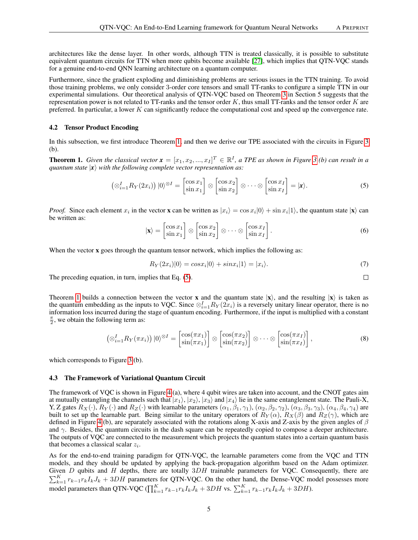architectures like the dense layer. In other words, although TTN is treated classically, it is possible to substitute equivalent quantum circuits for TTN when more qubits become available [\[27\]](#page-9-12), which implies that QTN-VQC stands for a genuine end-to-end QNN learning architecture on a quantum computer.

Furthermore, since the gradient exploding and diminishing problems are serious issues in the TTN training. To avoid those training problems, we only consider 3-order core tensors and small TT-ranks to configure a simple TTN in our experimental simulations. Our theoretical analysis of QTN-VQC based on Theorem [3](#page-5-1) in Section 5 suggests that the representation power is not related to TT-ranks and the tensor order  $K$ , thus small TT-ranks and the tensor order  $K$  are preferred. In particular, a lower  $K$  can significantly reduce the computational cost and speed up the convergence rate.

#### <span id="page-4-0"></span>4.2 Tensor Product Encoding

In this subsection, we first introduce Theorem [1,](#page-4-2) and then we derive our TPE associated with the circuits in Figure [3](#page-3-0) (b).

<span id="page-4-2"></span>**Theorem 1.** Given the classical vector  $\mathbf{x} = [x_1, x_2, ..., x_I]^T \in \mathbb{R}^I$ , a TPE as shown in Figure [3](#page-3-0) (b) can result in a *quantum state*  $|x\rangle$  *with the following complete vector representation as:* 

<span id="page-4-3"></span>
$$
\left(\otimes_{i=1}^{I} R_{Y}(2x_{i})\right)|0\rangle^{\otimes I} = \begin{bmatrix} \cos x_{1} \\ \sin x_{1} \end{bmatrix} \otimes \begin{bmatrix} \cos x_{2} \\ \sin x_{2} \end{bmatrix} \otimes \cdots \otimes \begin{bmatrix} \cos x_{I} \\ \sin x_{I} \end{bmatrix} = |\mathbf{x}\rangle.
$$
 (5)

*Proof.* Since each element  $x_i$  in the vector **x** can be written as  $|x_i\rangle = \cos x_i|0\rangle + \sin x_i|1\rangle$ , the quantum state  $|\mathbf{x}\rangle$  can be written as:

$$
|\mathbf{x}\rangle = \begin{bmatrix} \cos x_1 \\ \sin x_1 \end{bmatrix} \otimes \begin{bmatrix} \cos x_2 \\ \sin x_2 \end{bmatrix} \otimes \cdots \otimes \begin{bmatrix} \cos x_I \\ \sin x_I \end{bmatrix} . \tag{6}
$$

When the vector **x** goes through the quantum tensor network, which implies the following as:

$$
R_Y(2x_i)|0\rangle = \cos x_i|0\rangle + \sin x_i|1\rangle = |x_i\rangle. \tag{7}
$$

The preceding equation, in turn, implies that Eq. [\(5\)](#page-4-3).

Theorem [1](#page-4-2) builds a connection between the vector **x** and the quantum state  $|\mathbf{x}\rangle$ , and the resulting  $|\mathbf{x}\rangle$  is taken as the quantum embedding as the inputs to VQC. Since  $\otimes_{i=1}^I R_Y(2x_i)$  is a reversely unitary linear operator, there is no information loss incurred during the stage of quantum encoding. Furthermore, if the input is multiplied with a constant  $\frac{\pi}{2}$ , we obtain the following term as:

$$
\left(\otimes_{i=1}^{I} R_{Y}(\pi x_{i})\right)|0\rangle^{\otimes I} = \begin{bmatrix} \cos(\pi x_{1}) \\ \sin(\pi x_{1}) \end{bmatrix} \otimes \begin{bmatrix} \cos(\pi x_{2}) \\ \sin(\pi x_{2}) \end{bmatrix} \otimes \cdots \otimes \begin{bmatrix} \cos(\pi x_{I}) \\ \sin(\pi x_{I}) \end{bmatrix},\tag{8}
$$

which corresponds to Figure [3](#page-3-0) (b).

#### <span id="page-4-1"></span>4.3 The Framework of Variational Quantum Circuit

The framework of VQC is shown in Figure [4](#page-5-0) (a), where 4 qubit wires are taken into account, and the CNOT gates aim at mutually entangling the channels such that  $|x_1\rangle$ ,  $|x_2\rangle$ ,  $|x_3\rangle$  and  $|x_4\rangle$  lie in the same entanglement state. The Pauli-X, Y, Z gates  $R_X(\cdot)$ ,  $R_Y(\cdot)$  and  $R_Z(\cdot)$  with learnable parameters  $(\alpha_1, \beta_1, \gamma_1)$ ,  $(\alpha_2, \beta_2, \gamma_2)$ ,  $(\alpha_3, \beta_3, \gamma_3)$ ,  $(\alpha_4, \beta_4, \gamma_4)$  are built to set up the learnable part. Being similar to the unitary operators of  $R_Y(\alpha)$ ,  $R_X(\beta)$  and  $R_Z(\gamma)$ , which are defined in Figure [4](#page-5-0) (b), are separately associated with the rotations along X-axis and Z-axis by the given angles of  $\beta$ and  $\gamma$ . Besides, the quantum circuits in the dash square can be repeatedly copied to compose a deeper architecture. The outputs of VQC are connected to the measurement which projects the quantum states into a certain quantum basis that becomes a classical scalar  $z_i$ .

As for the end-to-end training paradigm for QTN-VQC, the learnable parameters come from the VQC and TTN models, and they should be updated by applying the back-propagation algorithm based on the Adam optimizer. Given  $D$  qubits and  $H$  depths, there are totally  $3DH$  trainable parameters for VQC. Consequently, there are  $\sum_{k=1}^{K} r_{k-1}r_{k}I_{k}J_{k} + 3DH$  parameters for QTN-VQC. On the other hand, the Dense-VQC model possesses more model parameters than QTN-VQC ( $\prod_{k=1}^{K} r_{k-1} r_k I_k J_k + 3DH$  vs.  $\sum_{k=1}^{K} r_{k-1} r_k I_k J_k + 3DH$ ).

 $\Box$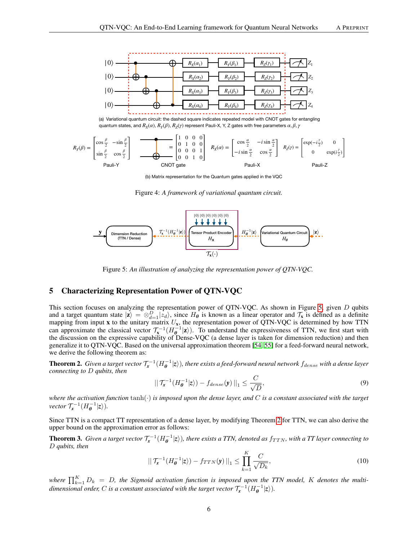

quantum states, and  $R_X(\alpha)$ ,  $R_Y(\beta)$ ,  $R_Z(\gamma)$  represent Pauli-X, Y, Z gates with free parameters  $\alpha, \beta, \gamma$ 

$$
R_Y(\beta) = \begin{bmatrix} \cos\frac{\beta}{2} & -\sin\frac{\beta}{2} \\ \sin\frac{\beta}{2} & \cos\frac{\beta}{2} \end{bmatrix} \qquad \qquad = \begin{bmatrix} 1 & 0 & 0 & 0 \\ 0 & 1 & 0 & 0 \\ 0 & 0 & 0 & 1 \\ 0 & 0 & 1 & 0 \end{bmatrix} \qquad R_X(\alpha) = \begin{bmatrix} \cos\frac{\alpha}{2} & -i\sin\frac{\alpha}{2} \\ -i\sin\frac{\alpha}{2} & \cos\frac{\alpha}{2} \end{bmatrix} \qquad R_Z(\gamma) = \begin{bmatrix} \exp(-i\frac{\gamma}{2}) & 0 \\ 0 & \exp(i\frac{\gamma}{2}) \end{bmatrix}
$$
\nPauli-Y

<span id="page-5-0"></span>(b) Matrix representation for the Quantum gates applied in the VQC

Figure 4: *A framework of variational quantum circuit.*



<span id="page-5-2"></span>Figure 5: *An illustration of analyzing the representation power of QTN-VQC.*

# 5 Characterizing Representation Power of QTN-VQC

This section focuses on analyzing the representation power of QTN-VQC. As shown in Figure [5,](#page-5-2) given D qubits and a target quantum state  $|\mathbf{z}\rangle = \otimes_{d=1}^{D} |z_d\rangle$ , since  $H_{\theta}$  is known as a linear operator and  $\mathcal{T}_{\mathbf{x}}$  is defined as a definite mapping from input **x** to the unitary matrix  $U_x$ , the representation power of QTN-VQC is determined by how TTN can approximate the classical vector  $\mathcal{T}_{\mathbf{x}}^{-1}(H^{-1}_{\theta}|\mathbf{z})$ . To understand the expressiveness of TTN, we first start with the discussion on the expressive capability of Dense-VQC (a dense layer is taken for dimension reduction) and then generalize it to QTN-VQC. Based on the universal approximation theorem [\[54,](#page-10-15) [55\]](#page-10-16) for a feed-forward neural network, we derive the following theorem as:

<span id="page-5-3"></span>**Theorem 2.** Given a target vector  $\mathcal{T}_x^{-1}(H_{\bm{\theta}}^{-1}|z\rangle)$ , there exists a feed-forward neural network  $f_{dense}$  with a dense layer *connecting to* D *qubits, then*

$$
\|\mathcal{T}_\mathbf{x}^{-1}(H_\theta^{-1}|\mathbf{z}\rangle) - f_{dense}(\mathbf{y})\|_1 \le \frac{C}{\sqrt{D}},\tag{9}
$$

*where the activation function* tanh(·) *is imposed upon the dense layer, and* C *is a constant associated with the target vector*  $\mathcal{T}_x^{-1}(H_{\theta}^{-1} | z)$ *).* 

Since TTN is a compact TT representation of a dense layer, by modifying Theorem [2](#page-5-3) for TTN, we can also derive the upper bound on the approximation error as follows:

<span id="page-5-1"></span>**Theorem 3.** Given a target vector  $\mathcal{T}_x^{-1}(H_{\theta}^{-1}|z\rangle)$ , there exists a TTN, denoted as  $f_{TTN}$ , with a TT layer connecting to D *qubits, then*

$$
\left\| \mathcal{T}_{\mathbf{x}}^{-1}(H_{\theta}^{-1}|\mathbf{z}) - f_{TTN}(\mathbf{y}) \right\|_{1} \le \prod_{k=1}^{K} \frac{C}{\sqrt{D_{k}}},\tag{10}
$$

where  $\prod_{k=1}^{K} D_k$  = D, the Sigmoid activation function is imposed upon the TTN model, K denotes the multi*dimensional order,* C is a constant associated with the target vector  $\mathcal{T}_{\mathbf{x}}^{-1}(H^{-1}_{\boldsymbol{\theta}}|\mathbf{z})$ ).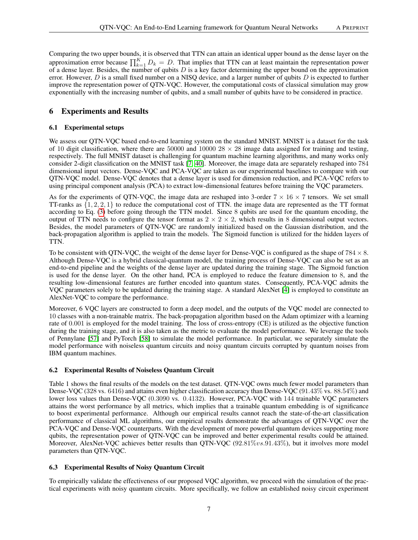Comparing the two upper bounds, it is observed that TTN can attain an identical upper bound as the dense layer on the approximation error because  $\prod_{k=1}^{K} D_k = D$ . That implies that TTN can at least maintain the representation power of a dense layer. Besides, the number of qubits  $D$  is a key factor determining the upper bound on the approximation error. However,  $D$  is a small fixed number on a NISQ device, and a larger number of qubits  $D$  is expected to further improve the representation power of QTN-VQC. However, the computational costs of classical simulation may grow exponentially with the increasing number of qubits, and a small number of qubits have to be considered in practice.

# 6 Experiments and Results

## 6.1 Experimental setups

We assess our QTN-VQC based end-to-end learning system on the standard MNIST. MNIST is a dataset for the task of 10 digit classification, where there are 50000 and 10000  $28 \times 28$  image data assigned for training and testing, respectively. The full MNIST dataset is challenging for quantum machine learning algorithms, and many works only consider 2-digit classification on the MNIST task [\[7,](#page-8-12) [40\]](#page-10-1). Moreover, the image data are separately reshaped into 784 dimensional input vectors. Dense-VQC and PCA-VQC are taken as our experimental baselines to compare with our QTN-VQC model. Dense-VQC denotes that a dense layer is used for dimension reduction, and PCA-VQC refers to using principal component analysis (PCA) to extract low-dimensional features before training the VQC parameters.

As for the experiments of QTN-VQC, the image data are reshaped into 3-order  $7 \times 16 \times 7$  tensors. We set small TT-ranks as  $\{1, 2, 2, 1\}$  to reduce the computational cost of TTN. the image data are represented as the TT format according to Eq. [\(3\)](#page-3-2) before going through the TTN model. Since 8 qubits are used for the quantum encoding, the output of TTN needs to configure the tensor format as  $2 \times 2 \times 2$ , which results in 8 dimensional output vectors. Besides, the model parameters of QTN-VQC are randomly initialized based on the Gaussian distribution, and the back-propagation algorithm is applied to train the models. The Sigmoid function is utilized for the hidden layers of TTN.

To be consistent with QTN-VQC, the weight of the dense layer for Dense-VQC is configured as the shape of  $784 \times 8$ . Although Dense-VQC is a hybrid classical-quantum model, the training process of Dense-VQC can also be set as an end-to-end pipeline and the weights of the dense layer are updated during the training stage. The Sigmoid function is used for the dense layer. On the other hand, PCA is employed to reduce the feature dimension to 8, and the resulting low-dimensional features are further encoded into quantum states. Consequently, PCA-VQC admits the VQC parameters solely to be updated during the training stage. A standard AlexNet [\[4\]](#page-8-13) is employed to constitute an AlexNet-VQC to compare the performance.

Moreover, 6 VQC layers are constructed to form a deep model, and the outputs of the VQC model are connected to 10 classes with a non-trainable matrix. The back-propagation algorithm based on the Adam optimizer with a learning rate of 0.001 is employed for the model training. The loss of cross-entropy (CE) is utilized as the objective function during the training stage, and it is also taken as the metric to evaluate the model performance. We leverage the tools of Pennylane [\[57\]](#page-10-17) and PyTorch [\[58\]](#page-10-18) to simulate the model performance. In particular, we separately simulate the model performance with noiseless quantum circuits and noisy quantum circuits corrupted by quantum noises from IBM quantum machines.

## 6.2 Experimental Results of Noiseless Quantum Circuit

Table 1 shows the final results of the models on the test dataset. QTN-VQC owns much fewer model parameters than Dense-VQC (328 vs. 6416) and attains even higher classification accuracy than Dense-VQC (91.43% vs. 88.54%) and lower loss values than Dense-VQC (0.3090 vs. 0.4132). However, PCA-VQC with 144 trainable VQC parameters attains the worst performance by all metrics, which implies that a trainable quantum embedding is of significance to boost experimental performance. Although our empirical results cannot reach the state-of-the-art classification performance of classical ML algorithms, our empirical results demonstrate the advantages of QTN-VQC over the PCA-VQC and Dense-VQC counterparts. With the development of more powerful quantum devices supporting more qubits, the representation power of QTN-VQC can be improved and better experimental results could be attained. Moreover, AlexNet-VQC achieves better results than QTN-VQC (92.81%vs.91.43%), but it involves more model parameters than QTN-VQC.

## 6.3 Experimental Results of Noisy Quantum Circuit

To empirically validate the effectiveness of our proposed VQC algorithm, we proceed with the simulation of the practical experiments with noisy quantum circuits. More specifically, we follow an established noisy circuit experiment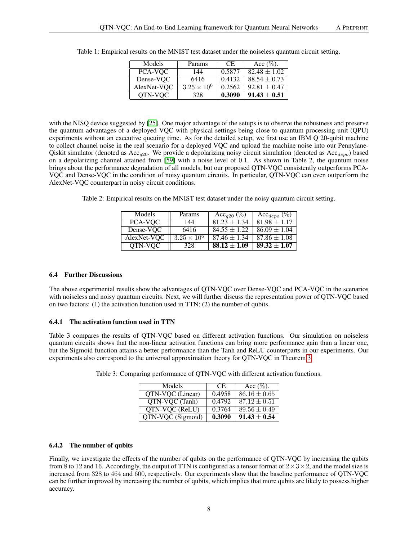| Models      | Params               | CE.    | Acc $(\%)$ .     |
|-------------|----------------------|--------|------------------|
| PCA-VOC     | 144                  | 0.5877 | $82.48 \pm 1.02$ |
| Dense-VOC   | 6416                 | 0.4132 | $88.54 \pm 0.73$ |
| AlexNet-VQC | $3.25 \times 10^{6}$ | 0.2562 | $92.81 \pm 0.47$ |
| OTN-VOC     | 328                  | 0.3090 | $91.43 \pm 0.51$ |

Table 1: Empirical results on the MNIST test dataset under the noiseless quantum circuit setting.

with the NISQ device suggested by [\[25\]](#page-9-10). One major advantage of the setups is to observe the robustness and preserve the quantum advantages of a deployed VQC with physical settings being close to quantum processing unit (QPU) experiments without an executive queuing time. As for the detailed setup, we first use an IBM Q 20-qubit machine to collect channel noise in the real scenario for a deployed VQC and upload the machine noise into our Pennylane-Qiskit simulator (denoted as Acc<sub>a20</sub>. We provide a depolarizing noisy circuit simulation (denoted as Acc<sub>depo</sub>) based on a depolarizing channel attained from [\[59\]](#page-10-19) with a noise level of 0.1. As shown in Table 2, the quantum noise brings about the performance degradation of all models, but our proposed QTN-VQC consistently outperforms PCA-VQC and Dense-VQC in the condition of noisy quantum circuits. In particular, QTN-VQC can even outperform the AlexNet-VQC counterpart in noisy circuit conditions.

Table 2: Empirical results on the MNIST test dataset under the noisy quantum circuit setting.

| Models      | Params               | Acc <sub>q20</sub> $(\%)$ | Acc <sub>depo</sub> $(\%)$ |
|-------------|----------------------|---------------------------|----------------------------|
| PCA-VOC     | 144                  | $81.23 + 1.34$            | $81.98 \pm 1.17$           |
| Dense-VOC   | 6416                 | $84.55 \pm 1.22$          | $86.09 \pm 1.04$           |
| AlexNet-VQC | $3.25 \times 10^{6}$ | $87.46 \pm 1.34$          | $87.86 \pm 1.08$           |
| OTN-VOC     | 328                  | $88.12 \pm 1.09$          | $89.32 \pm 1.07$           |

## 6.4 Further Discussions

The above experimental results show the advantages of QTN-VQC over Dense-VQC and PCA-VQC in the scenarios with noiseless and noisy quantum circuits. Next, we will further discuss the representation power of QTN-VQC based on two factors: (1) the activation function used in TTN; (2) the number of qubits.

## 6.4.1 The activation function used in TTN

Table 3 compares the results of QTN-VQC based on different activation functions. Our simulation on noiseless quantum circuits shows that the non-linear activation functions can bring more performance gain than a linear one, but the Sigmoid function attains a better performance than the Tanh and ReLU counterparts in our experiments. Our experiments also correspond to the universal approximation theory for QTN-VQC in Theorem [3.](#page-5-1)

| Models            | CE.    | Acc $(\%).$      |
|-------------------|--------|------------------|
| OTN-VOC (Linear)  | 0.4958 | $86.16 \pm 0.65$ |
| OTN-VOC (Tanh)    | 0.4792 | $87.12 \pm 0.51$ |
| OTN-VOC (ReLU)    | 0.3764 | $89.56 \pm 0.49$ |
| QTN-VQC (Sigmoid) | 0.3090 | $91.43 \pm 0.54$ |

Table 3: Comparing performance of QTN-VQC with different activation functions.

## 6.4.2 The number of qubits

Finally, we investigate the effects of the number of qubits on the performance of OTN-VOC by increasing the qubits from 8 to 12 and 16. Accordingly, the output of TTN is configured as a tensor format of  $2 \times 3 \times 2$ , and the model size is increased from 328 to 464 and 600, respectively. Our experiments show that the baseline performance of QTN-VQC can be further improved by increasing the number of qubits, which implies that more qubits are likely to possess higher accuracy.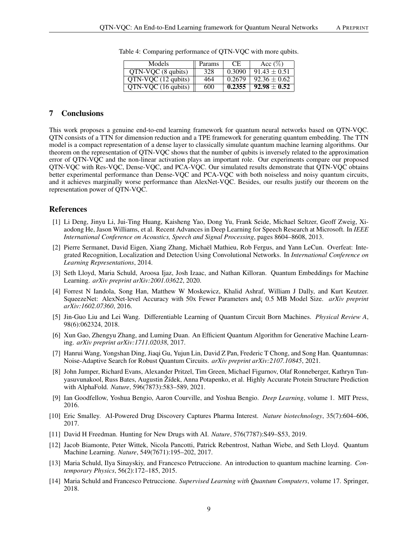| Models                                  | Params | <b>CE</b> | Acc $(\%)$       |
|-----------------------------------------|--------|-----------|------------------|
| $QTN-VOC$ (8 qubits)                    | 328    | 0.3090    | $91.43 \pm 0.51$ |
| $QTN-VQC$ (12 qubits)                   | 464    | 0.2679    | $92.36 \pm 0.62$ |
| $\overline{QTN\text{-}VQC}$ (16 qubits) | 600    | 0.2355    | $92.98 \pm 0.52$ |

Table 4: Comparing performance of QTN-VQC with more qubits.

# 7 Conclusions

This work proposes a genuine end-to-end learning framework for quantum neural networks based on QTN-VQC. QTN consists of a TTN for dimension reduction and a TPE framework for generating quantum embedding. The TTN model is a compact representation of a dense layer to classically simulate quantum machine learning algorithms. Our theorem on the representation of QTN-VQC shows that the number of qubits is inversely related to the approximation error of QTN-VQC and the non-linear activation plays an important role. Our experiments compare our proposed QTN-VQC with Res-VQC, Dense-VQC, and PCA-VQC. Our simulated results demonstrate that QTN-VQC obtains better experimental performance than Dense-VQC and PCA-VQC with both noiseless and noisy quantum circuits, and it achieves marginally worse performance than AlexNet-VQC. Besides, our results justify our theorem on the representation power of QTN-VQC.

## References

- <span id="page-8-0"></span>[1] Li Deng, Jinyu Li, Jui-Ting Huang, Kaisheng Yao, Dong Yu, Frank Seide, Michael Seltzer, Geoff Zweig, Xiaodong He, Jason Williams, et al. Recent Advances in Deep Learning for Speech Research at Microsoft. In *IEEE International Conference on Acoustics, Speech and Signal Processing*, pages 8604–8608, 2013.
- <span id="page-8-1"></span>[2] Pierre Sermanet, David Eigen, Xiang Zhang, Michaël Mathieu, Rob Fergus, and Yann LeCun. Overfeat: Integrated Recognition, Localization and Detection Using Convolutional Networks. In *International Conference on Learning Representations*, 2014.
- <span id="page-8-11"></span>[3] Seth Lloyd, Maria Schuld, Aroosa Ijaz, Josh Izaac, and Nathan Killoran. Quantum Embeddings for Machine Learning. *arXiv preprint arXiv:2001.03622*, 2020.
- <span id="page-8-13"></span>[4] Forrest N Iandola, Song Han, Matthew W Moskewicz, Khalid Ashraf, William J Dally, and Kurt Keutzer. SqueezeNet: AlexNet-level Accuracy with 50x Fewer Parameters and¡ 0.5 MB Model Size. *arXiv preprint arXiv:1602.07360*, 2016.
- <span id="page-8-9"></span>[5] Jin-Guo Liu and Lei Wang. Differentiable Learning of Quantum Circuit Born Machines. *Physical Review A*, 98(6):062324, 2018.
- <span id="page-8-10"></span>[6] Xun Gao, Zhengyu Zhang, and Luming Duan. An Efficient Quantum Algorithm for Generative Machine Learning. *arXiv preprint arXiv:1711.02038*, 2017.
- <span id="page-8-12"></span>[7] Hanrui Wang, Yongshan Ding, Jiaqi Gu, Yujun Lin, David Z Pan, Frederic T Chong, and Song Han. Quantumnas: Noise-Adaptive Search for Robust Quantum Circuits. *arXiv preprint arXiv:2107.10845*, 2021.
- <span id="page-8-2"></span>[8] John Jumper, Richard Evans, Alexander Pritzel, Tim Green, Michael Figurnov, Olaf Ronneberger, Kathryn Tunyasuvunakool, Russ Bates, Augustin Zˇ´ıdek, Anna Potapenko, et al. Highly Accurate Protein Structure Prediction with AlphaFold. *Nature*, 596(7873):583–589, 2021.
- <span id="page-8-3"></span>[9] Ian Goodfellow, Yoshua Bengio, Aaron Courville, and Yoshua Bengio. *Deep Learning*, volume 1. MIT Press, 2016.
- <span id="page-8-4"></span>[10] Eric Smalley. AI-Powered Drug Discovery Captures Pharma Interest. *Nature biotechnology*, 35(7):604–606, 2017.
- <span id="page-8-5"></span>[11] David H Freedman. Hunting for New Drugs with AI. *Nature*, 576(7787):S49–S53, 2019.
- <span id="page-8-6"></span>[12] Jacob Biamonte, Peter Wittek, Nicola Pancotti, Patrick Rebentrost, Nathan Wiebe, and Seth Lloyd. Quantum Machine Learning. *Nature*, 549(7671):195–202, 2017.
- <span id="page-8-7"></span>[13] Maria Schuld, Ilya Sinayskiy, and Francesco Petruccione. An introduction to quantum machine learning. *Contemporary Physics*, 56(2):172–185, 2015.
- <span id="page-8-8"></span>[14] Maria Schuld and Francesco Petruccione. *Supervised Learning with Quantum Computers*, volume 17. Springer, 2018.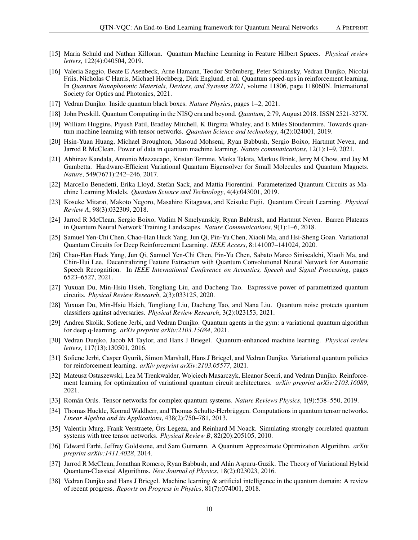- <span id="page-9-0"></span>[15] Maria Schuld and Nathan Killoran. Quantum Machine Learning in Feature Hilbert Spaces. *Physical review letters*, 122(4):040504, 2019.
- <span id="page-9-1"></span>[16] Valeria Saggio, Beate E Asenbeck, Arne Hamann, Teodor Stromberg, Peter Schiansky, Vedran Dunjko, Nicolai ¨ Friis, Nicholas C Harris, Michael Hochberg, Dirk Englund, et al. Quantum speed-ups in reinforcement learning. In *Quantum Nanophotonic Materials, Devices, and Systems 2021*, volume 11806, page 118060N. International Society for Optics and Photonics, 2021.
- <span id="page-9-2"></span>[17] Vedran Dunjko. Inside quantum black boxes. *Nature Physics*, pages 1–2, 2021.
- <span id="page-9-3"></span>[18] John Preskill. Quantum Computing in the NISQ era and beyond. *Quantum*, 2:79, August 2018. ISSN 2521-327X.
- <span id="page-9-4"></span>[19] William Huggins, Piyush Patil, Bradley Mitchell, K Birgitta Whaley, and E Miles Stoudenmire. Towards quantum machine learning with tensor networks. *Quantum Science and technology*, 4(2):024001, 2019.
- <span id="page-9-5"></span>[20] Hsin-Yuan Huang, Michael Broughton, Masoud Mohseni, Ryan Babbush, Sergio Boixo, Hartmut Neven, and Jarrod R McClean. Power of data in quantum machine learning. *Nature communications*, 12(1):1–9, 2021.
- <span id="page-9-6"></span>[21] Abhinav Kandala, Antonio Mezzacapo, Kristan Temme, Maika Takita, Markus Brink, Jerry M Chow, and Jay M Gambetta. Hardware-Efficient Variational Quantum Eigensolver for Small Molecules and Quantum Magnets. *Nature*, 549(7671):242–246, 2017.
- <span id="page-9-7"></span>[22] Marcello Benedetti, Erika Lloyd, Stefan Sack, and Mattia Fiorentini. Parameterized Quantum Circuits as Machine Learning Models. *Quantum Science and Technology*, 4(4):043001, 2019.
- <span id="page-9-8"></span>[23] Kosuke Mitarai, Makoto Negoro, Masahiro Kitagawa, and Keisuke Fujii. Quantum Circuit Learning. *Physical Review A*, 98(3):032309, 2018.
- <span id="page-9-9"></span>[24] Jarrod R McClean, Sergio Boixo, Vadim N Smelyanskiy, Ryan Babbush, and Hartmut Neven. Barren Plateaus in Quantum Neural Network Training Landscapes. *Nature Communications*, 9(1):1–6, 2018.
- <span id="page-9-10"></span>[25] Samuel Yen-Chi Chen, Chao-Han Huck Yang, Jun Qi, Pin-Yu Chen, Xiaoli Ma, and Hsi-Sheng Goan. Variational Quantum Circuits for Deep Reinforcement Learning. *IEEE Access*, 8:141007–141024, 2020.
- <span id="page-9-11"></span>[26] Chao-Han Huck Yang, Jun Qi, Samuel Yen-Chi Chen, Pin-Yu Chen, Sabato Marco Siniscalchi, Xiaoli Ma, and Chin-Hui Lee. Decentralizing Feature Extraction with Quantum Convolutional Neural Network for Automatic Speech Recognition. In *IEEE International Conference on Acoustics, Speech and Signal Processing*, pages 6523–6527, 2021.
- <span id="page-9-12"></span>[27] Yuxuan Du, Min-Hsiu Hsieh, Tongliang Liu, and Dacheng Tao. Expressive power of parametrized quantum circuits. *Physical Review Research*, 2(3):033125, 2020.
- <span id="page-9-13"></span>[28] Yuxuan Du, Min-Hsiu Hsieh, Tongliang Liu, Dacheng Tao, and Nana Liu. Quantum noise protects quantum classifiers against adversaries. *Physical Review Research*, 3(2):023153, 2021.
- <span id="page-9-14"></span>[29] Andrea Skolik, Sofiene Jerbi, and Vedran Dunjko. Quantum agents in the gym: a variational quantum algorithm for deep q-learning. *arXiv preprint arXiv:2103.15084*, 2021.
- <span id="page-9-15"></span>[30] Vedran Dunjko, Jacob M Taylor, and Hans J Briegel. Quantum-enhanced machine learning. *Physical review letters*, 117(13):130501, 2016.
- <span id="page-9-16"></span>[31] Sofiene Jerbi, Casper Gyurik, Simon Marshall, Hans J Briegel, and Vedran Dunjko. Variational quantum policies for reinforcement learning. *arXiv preprint arXiv:2103.05577*, 2021.
- <span id="page-9-17"></span>[32] Mateusz Ostaszewski, Lea M Trenkwalder, Wojciech Masarczyk, Eleanor Scerri, and Vedran Dunjko. Reinforcement learning for optimization of variational quantum circuit architectures. *arXiv preprint arXiv:2103.16089*, 2021.
- <span id="page-9-18"></span>[33] Román Orús. Tensor networks for complex quantum systems. Nature Reviews Physics, 1(9):538–550, 2019.
- <span id="page-9-19"></span>[34] Thomas Huckle, Konrad Waldherr, and Thomas Schulte-Herbrüggen. Computations in quantum tensor networks. *Linear Algebra and its Applications*, 438(2):750–781, 2013.
- <span id="page-9-20"></span>[35] Valentin Murg, Frank Verstraete, Örs Legeza, and Reinhard M Noack. Simulating strongly correlated quantum systems with tree tensor networks. *Physical Review B*, 82(20):205105, 2010.
- <span id="page-9-21"></span>[36] Edward Farhi, Jeffrey Goldstone, and Sam Gutmann. A Quantum Approximate Optimization Algorithm. *arXiv preprint arXiv:1411.4028*, 2014.
- <span id="page-9-22"></span>[37] Jarrod R McClean, Jonathan Romero, Ryan Babbush, and Alán Aspuru-Guzik. The Theory of Variational Hybrid Quantum-Classical Algorithms. *New Journal of Physics*, 18(2):023023, 2016.
- <span id="page-9-23"></span>[38] Vedran Dunjko and Hans J Briegel. Machine learning & artificial intelligence in the quantum domain: A review of recent progress. *Reports on Progress in Physics*, 81(7):074001, 2018.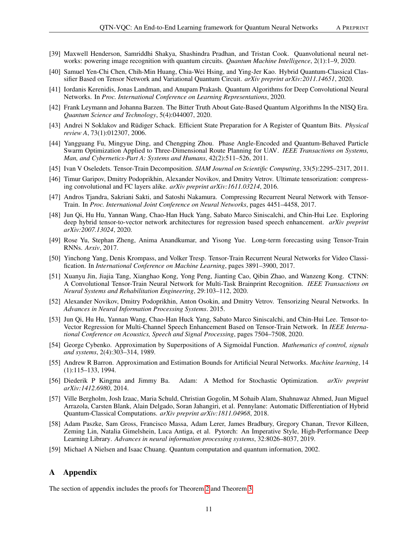- <span id="page-10-0"></span>[39] Maxwell Henderson, Samriddhi Shakya, Shashindra Pradhan, and Tristan Cook. Quanvolutional neural networks: powering image recognition with quantum circuits. *Quantum Machine Intelligence*, 2(1):1–9, 2020.
- <span id="page-10-1"></span>[40] Samuel Yen-Chi Chen, Chih-Min Huang, Chia-Wei Hsing, and Ying-Jer Kao. Hybrid Quantum-Classical Classifier Based on Tensor Network and Variational Quantum Circuit. *arXiv preprint arXiv:2011.14651*, 2020.
- <span id="page-10-2"></span>[41] Iordanis Kerenidis, Jonas Landman, and Anupam Prakash. Quantum Algorithms for Deep Convolutional Neural Networks. In *Proc. International Conference on Learning Representations*, 2020.
- <span id="page-10-3"></span>[42] Frank Leymann and Johanna Barzen. The Bitter Truth About Gate-Based Quantum Algorithms In the NISQ Era. *Quantum Science and Technology*, 5(4):044007, 2020.
- <span id="page-10-4"></span>[43] Andrei N Soklakov and Rüdiger Schack. Efficient State Preparation for A Register of Quantum Bits. *Physical review A*, 73(1):012307, 2006.
- <span id="page-10-5"></span>[44] Yangguang Fu, Mingyue Ding, and Chengping Zhou. Phase Angle-Encoded and Quantum-Behaved Particle Swarm Optimization Applied to Three-Dimensional Route Planning for UAV. *IEEE Transactions on Systems, Man, and Cybernetics-Part A: Systems and Humans*, 42(2):511–526, 2011.
- <span id="page-10-6"></span>[45] Ivan V Oseledets. Tensor-Train Decomposition. *SIAM Journal on Scientific Computing*, 33(5):2295–2317, 2011.
- <span id="page-10-7"></span>[46] Timur Garipov, Dmitry Podoprikhin, Alexander Novikov, and Dmitry Vetrov. Ultimate tensorization: compressing convolutional and FC layers alike. *arXiv preprint arXiv:1611.03214*, 2016.
- <span id="page-10-8"></span>[47] Andros Tjandra, Sakriani Sakti, and Satoshi Nakamura. Compressing Recurrent Neural Network with Tensor-Train. In *Proc. International Joint Conference on Neural Networks*, pages 4451–4458, 2017.
- <span id="page-10-9"></span>[48] Jun Qi, Hu Hu, Yannan Wang, Chao-Han Huck Yang, Sabato Marco Siniscalchi, and Chin-Hui Lee. Exploring deep hybrid tensor-to-vector network architectures for regression based speech enhancement. *arXiv preprint arXiv:2007.13024*, 2020.
- <span id="page-10-10"></span>[49] Rose Yu, Stephan Zheng, Anima Anandkumar, and Yisong Yue. Long-term forecasting using Tensor-Train RNNs. *Arxiv*, 2017.
- <span id="page-10-11"></span>[50] Yinchong Yang, Denis Krompass, and Volker Tresp. Tensor-Train Recurrent Neural Networks for Video Classification. In *International Conference on Machine Learning*, pages 3891–3900, 2017.
- <span id="page-10-12"></span>[51] Xuanyu Jin, Jiajia Tang, Xianghao Kong, Yong Peng, Jianting Cao, Qibin Zhao, and Wanzeng Kong. CTNN: A Convolutional Tensor-Train Neural Network for Multi-Task Brainprint Recognition. *IEEE Transactions on Neural Systems and Rehabilitation Engineering*, 29:103–112, 2020.
- <span id="page-10-13"></span>[52] Alexander Novikov, Dmitry Podoprikhin, Anton Osokin, and Dmitry Vetrov. Tensorizing Neural Networks. In *Advances in Neural Information Processing Systems*. 2015.
- <span id="page-10-14"></span>[53] Jun Qi, Hu Hu, Yannan Wang, Chao-Han Huck Yang, Sabato Marco Siniscalchi, and Chin-Hui Lee. Tensor-to-Vector Regression for Multi-Channel Speech Enhancement Based on Tensor-Train Network. In *IEEE International Conference on Acoustics, Speech and Signal Processing*, pages 7504–7508, 2020.
- <span id="page-10-15"></span>[54] George Cybenko. Approximation by Superpositions of A Sigmoidal Function. *Mathematics of control, signals and systems*, 2(4):303–314, 1989.
- <span id="page-10-16"></span>[55] Andrew R Barron. Approximation and Estimation Bounds for Artificial Neural Networks. *Machine learning*, 14 (1):115–133, 1994.
- [56] Diederik P Kingma and Jimmy Ba. Adam: A Method for Stochastic Optimization. *arXiv preprint arXiv:1412.6980*, 2014.
- <span id="page-10-17"></span>[57] Ville Bergholm, Josh Izaac, Maria Schuld, Christian Gogolin, M Sohaib Alam, Shahnawaz Ahmed, Juan Miguel Arrazola, Carsten Blank, Alain Delgado, Soran Jahangiri, et al. Pennylane: Automatic Differentiation of Hybrid Quantum-Classical Computations. *arXiv preprint arXiv:1811.04968*, 2018.
- <span id="page-10-18"></span>[58] Adam Paszke, Sam Gross, Francisco Massa, Adam Lerer, James Bradbury, Gregory Chanan, Trevor Killeen, Zeming Lin, Natalia Gimelshein, Luca Antiga, et al. Pytorch: An Imperative Style, High-Performance Deep Learning Library. *Advances in neural information processing systems*, 32:8026–8037, 2019.
- <span id="page-10-19"></span>[59] Michael A Nielsen and Isaac Chuang. Quantum computation and quantum information, 2002.

# A Appendix

The section of appendix includes the proofs for Theorem [2](#page-5-3) and Theorem [3.](#page-5-1)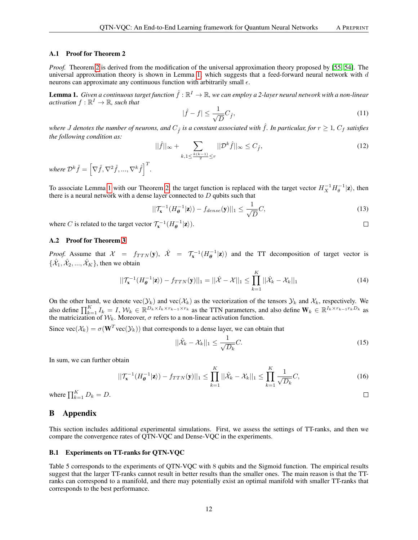#### A.1 Proof for Theorem 2

*Proof.* Theorem [2](#page-5-3) is derived from the modification of the universal approximation theory proposed by [\[55,](#page-10-16) [54\]](#page-10-15). The universal approximation theory is shown in Lemma [1,](#page-11-0) which suggests that a feed-forward neural network with  $d$ neurons can approximate any continuous function with arbitrarily small  $\epsilon$ .

<span id="page-11-0"></span>**Lemma 1.** Given a continuous target function  $\hat{f}:\mathbb{R}^I\to\mathbb{R}$ , we can employ a 2-layer neural network with a non-linear activation  $f : \mathbb{R}^I \to \mathbb{R}$ *, such that* 

$$
|\hat{f} - f| \le \frac{1}{\sqrt{D}} C_{\hat{f}},\tag{11}
$$

*where J* denotes the number of neurons, and  $C_f$  is a constant associated with  $\hat{f}$ . In particular, for  $r \geq 1$ ,  $C_f$  satisfies *the following condition as:*

$$
||\hat{f}||_{\infty} + \sum_{k, 1 \le \frac{k(k-1)}{2} \le r} ||\mathcal{D}^k \hat{f}||_{\infty} \le C_{\hat{f}},
$$
\n(12)

where  $\mathcal{D}^k \hat{f} = \left[ \nabla \hat{f}, \nabla^2 \hat{f}, ..., \nabla^k \hat{f} \right]^T$ .

To associate Lemma [1](#page-11-0) with our Theorem [2,](#page-5-3) the target function is replaced with the target vector  $H_X^{-1}H_\theta^{-1}|\mathbf{z}\rangle$ , then there is a neural network with a dense layer connected to  $D$  qubits such that

$$
||\mathcal{T}_{\mathbf{x}}^{-1}(H_{\theta}^{-1}|\mathbf{z}\rangle) - f_{dense}(\mathbf{y})||_1 \le \frac{1}{\sqrt{D}}C,
$$
\n(13)

where C is related to the target vector  $\mathcal{T}_{\mathbf{x}}^{-1}(H^{-1}_{\theta}|\mathbf{z})$ ).

#### A.2 Proof for Theorem [3](#page-5-1)

*Proof.* Assume that  $X = f_{TTN}(\mathbf{y}), \quad \hat{X} = \mathcal{T}_{\mathbf{x}}^{-1}(H_{\theta}^{-1}|\mathbf{z})$  and the TT decomposition of target vector is  $\{\hat{\mathcal{X}}_1, \hat{\mathcal{X}}_2, ..., \hat{\mathcal{X}}_K\}$ , then we obtain

$$
||\mathcal{T}_{\mathbf{x}}^{-1}(H_{\boldsymbol{\theta}}^{-1}|\mathbf{z}\rangle) - f_{TTN}(\mathbf{y})||_1 = ||\hat{\mathcal{X}} - \mathcal{X}||_1 \le \prod_{k=1}^K ||\hat{\mathcal{X}}_k - \mathcal{X}_k||_1
$$
\n(14)

On the other hand, we denote vec $(\mathcal{Y}_k)$  and vec $(\mathcal{X}_k)$  as the vectorization of the tensors  $\mathcal{Y}_k$  and  $\mathcal{X}_k$ , respectively. We also define  $\prod_{k=1}^K I_k = I$ ,  $\mathcal{W}_k \in \mathbb{R}^{D_k \times I_k \times r_{k-1} \times r_k}$  as the TTN parameters, and also define  $\mathbf{W}_k \in \mathbb{R}^{I_k \times r_{k-1}r_kD_k}$  as the matricization of  $\mathcal{W}_k$ . Moreover,  $\sigma$  refers to a non-linear activation function.

Since  $\text{vec}(\mathcal{X}_k) = \sigma(\mathbf{W}^T \text{vec}(\mathcal{Y}_k))$  that corresponds to a dense layer, we can obtain that

$$
||\hat{\mathcal{X}}_k - \mathcal{X}_k||_1 \le \frac{1}{\sqrt{D_k}}C. \tag{15}
$$

In sum, we can further obtain

$$
||\mathcal{T}_{\mathbf{x}}^{-1}(H_{\boldsymbol{\theta}}^{-1}|\mathbf{z}\rangle) - f_{TTN}(\mathbf{y})||_1 \le \prod_{k=1}^K ||\hat{\mathcal{X}}_k - \mathcal{X}_k||_1 \le \prod_{k=1}^K \frac{1}{\sqrt{D_k}} C,\tag{16}
$$

where  $\prod_{k=1}^{K} D_k = D$ .

# B Appendix

This section includes additional experimental simulations. First, we assess the settings of TT-ranks, and then we compare the convergence rates of QTN-VQC and Dense-VQC in the experiments.

#### B.1 Experiments on TT-ranks for QTN-VQC

Table 5 corresponds to the experiments of QTN-VQC with 8 qubits and the Sigmoid function. The empirical results suggest that the larger TT-ranks cannot result in better results than the smaller ones. The main reason is that the TTranks can correspond to a manifold, and there may potentially exist an optimal manifold with smaller TT-ranks that corresponds to the best performance.

 $\Box$ 

 $\Box$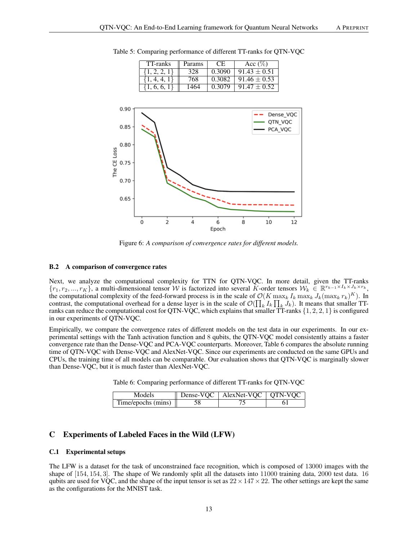

Table 5: Comparing performance of different TT-ranks for QTN-VQC

Figure 6: *A comparison of convergence rates for different models.*

#### B.2 A comparison of convergence rates

Next, we analyze the computational complexity for TTN for QTN-VQC. In more detail, given the TT-ranks  ${r_1, r_2, ..., r_K}$ , a multi-dimensional tensor W is factorized into several K-order tensors  $W_k \in \mathbb{R}^{r_{k-1} \times I_k \times J_k \times r_k}$ , the computational complexity of the feed-forward process is in the scale of  $\mathcal{O}(K \max_k I_k \max_k J_k (\max_k r_k)^K)$ . In contrast, the computational overhead for a dense layer is in the scale of  $\mathcal{O}(\prod_k I_k \prod_k J_k)$ . It means that smaller TTranks can reduce the computational cost for QTN-VQC, which explains that smaller  $\overline{T}$ -ranks  $\{1, 2, 2, 1\}$  is configured in our experiments of QTN-VQC.

Empirically, we compare the convergence rates of different models on the test data in our experiments. In our experimental settings with the Tanh activation function and 8 qubits, the QTN-VQC model consistently attains a faster convergence rate than the Dense-VQC and PCA-VQC counterparts. Moreover, Table 6 compares the absolute running time of QTN-VQC with Dense-VQC and AlexNet-VQC. Since our experiments are conducted on the same GPUs and CPUs, the training time of all models can be comparable. Our evaluation shows that QTN-VQC is marginally slower than Dense-VQC, but it is much faster than AlexNet-VQC.

Table 6: Comparing performance of different TT-ranks for QTN-VQC

| Models             | Dense-VQC   AlexNet-VQC   QTN-VQC |  |
|--------------------|-----------------------------------|--|
| Time/epochs (mins) |                                   |  |

# C Experiments of Labeled Faces in the Wild (LFW)

#### C.1 Experimental setups

The LFW is a dataset for the task of unconstrained face recognition, which is composed of 13000 images with the shape of [154, 154, 3]. The shape of We randomly split all the datasets into 11000 training data, 2000 test data. 16 qubits are used for VQC, and the shape of the input tensor is set as  $22 \times 147 \times 22$ . The other settings are kept the same as the configurations for the MNIST task.